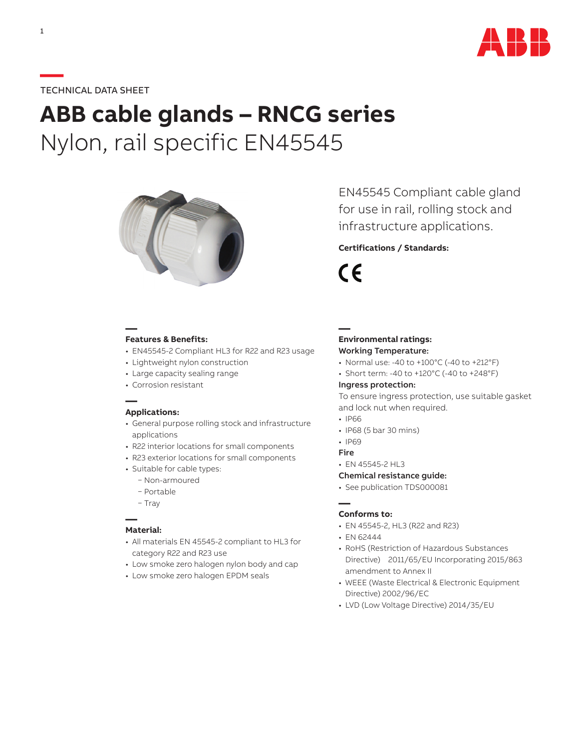

## **—**TECHNICAL DATA SHEET

# **ABB cable glands – RNCG series** Nylon, rail specific EN45545



**— Features & Benefits:**

- EN45545-2 Compliant HL3 for R22 and R23 usage
- Lightweight nylon construction
- Large capacity sealing range
- Corrosion resistant

#### **— Applications:**

- General purpose rolling stock and infrastructure applications
- R22 interior locations for small components
- R23 exterior locations for small components
- Suitable for cable types:
	- − Non-armoured
	- − Portable
	- − Tray

## **— Material:**

- All materials EN 45545-2 compliant to HL3 for category R22 and R23 use
- Low smoke zero halogen nylon body and cap
- Low smoke zero halogen EPDM seals

EN45545 Compliant cable gland for use in rail, rolling stock and infrastructure applications.

## **Certifications / Standards:**

 $\epsilon$ 

**—**

#### **Environmental ratings:** Working Temperature:

- Normal use: -40 to +100°C (-40 to +212°F)
- Short term: -40 to +120°C (-40 to +248°F)

#### Ingress protection:

To ensure ingress protection, use suitable gasket and lock nut when required.

- IP66
- IP68 (5 bar 30 mins)
- IP69
- Fire
- EN 45545-2 HL3

#### Chemical resistance guide:

• See publication TDS000081

#### **— Conforms to:**

- EN 45545-2, HL3 (R22 and R23)
- EN 62444
- RoHS (Restriction of Hazardous Substances Directive) 2011/65/EU Incorporating 2015/863 amendment to Annex II
- WEEE (Waste Electrical & Electronic Equipment Directive) 2002/96/EC
- LVD (Low Voltage Directive) 2014/35/EU